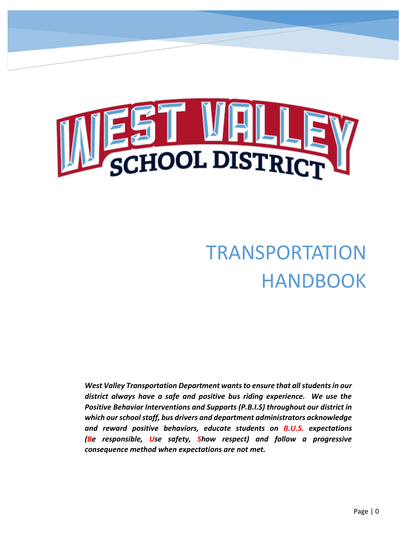

# TRANSPORTATION HANDBOOK

*West Valley Transportation Department wants to ensure that all students in our district always have a safe and positive bus riding experience. We use the Positive Behavior Interventions and Supports (P.B.I.S) throughout our district in which our school staff, bus drivers and department administrators acknowledge and reward positive behaviors, educate students on B.U.S. expectations (Be responsible, Use safety, Show respect) and follow a progressive consequence method when expectations are not met.*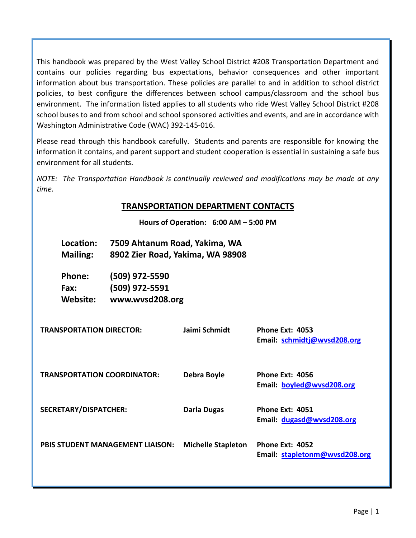This handbook was prepared by the West Valley School District #208 Transportation Department and contains our policies regarding bus expectations, behavior consequences and other important information about bus transportation. These policies are parallel to and in addition to school district policies, to best configure the differences between school campus/classroom and the school bus environment. The information listed applies to all students who ride West Valley School District #208 school buses to and from school and school sponsored activities and events, and are in accordance with Washington Administrative Code (WAC) 392-145-016.

Please read through this handbook carefully. Students and parents are responsible for knowing the information it contains, and parent support and student cooperation is essential in sustaining a safe bus environment for all students.

*NOTE: The Transportation Handbook is continually reviewed and modifications may be made at any time.*

# **TRANSPORTATION DEPARTMENT CONTACTS**

**Hours of Operation: 6:00 AM – 5:00 PM**

|                                    | Location:<br><b>Mailing:</b>    | 7509 Ahtanum Road, Yakima, WA<br>8902 Zier Road, Yakima, WA 98908 |                           |                                                       |
|------------------------------------|---------------------------------|-------------------------------------------------------------------|---------------------------|-------------------------------------------------------|
|                                    | Phone:<br>Fax:<br>Website:      | (509) 972-5590<br>(509) 972-5591<br>www.wvsd208.org               |                           |                                                       |
|                                    | <b>TRANSPORTATION DIRECTOR:</b> |                                                                   | Jaimi Schmidt             | <b>Phone Ext: 4053</b><br>Email: schmidtj@wvsd208.org |
| <b>TRANSPORTATION COORDINATOR:</b> |                                 |                                                                   | Debra Boyle               | <b>Phone Ext: 4056</b><br>Email: boyled@wvsd208.org   |
| <b>SECRETARY/DISPATCHER:</b>       |                                 |                                                                   | <b>Darla Dugas</b>        | Phone Ext: 4051<br>Email: dugasd@wysd208.org          |
|                                    |                                 | <b>PBIS STUDENT MANAGEMENT LIAISON:</b>                           | <b>Michelle Stapleton</b> | Phone Ext: 4052<br>Email: stapletonm@wvsd208.org      |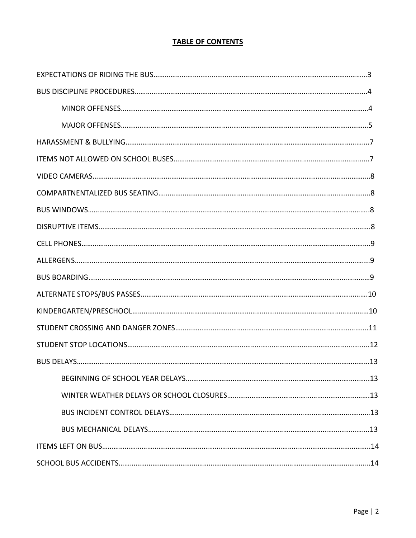## **TABLE OF CONTENTS**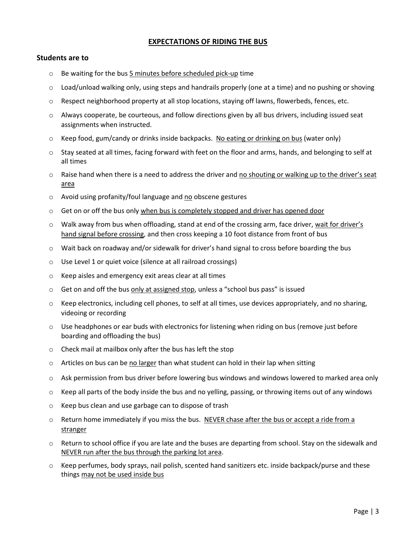#### **EXPECTATIONS OF RIDING THE BUS**

#### **Students are to**

- $\circ$  Be waiting for the bus  $5$  minutes before scheduled pick-up time
- $\circ$  Load/unload walking only, using steps and handrails properly (one at a time) and no pushing or shoving
- o Respect neighborhood property at all stop locations, staying off lawns, flowerbeds, fences, etc.
- $\circ$  Always cooperate, be courteous, and follow directions given by all bus drivers, including issued seat assignments when instructed.
- $\circ$  Keep food, gum/candy or drinks inside backpacks. No eating or drinking on bus (water only)
- o Stay seated at all times, facing forward with feet on the floor and arms, hands, and belonging to self at all times
- o Raise hand when there is a need to address the driver and no shouting or walking up to the driver's seat area
- o Avoid using profanity/foul language and no obscene gestures
- $\circ$  Get on or off the bus only when bus is completely stopped and driver has opened door
- o Walk away from bus when offloading, stand at end of the crossing arm, face driver, wait for driver's hand signal before crossing, and then cross keeping a 10 foot distance from front of bus
- $\circ$  Wait back on roadway and/or sidewalk for driver's hand signal to cross before boarding the bus
- o Use Level 1 or quiet voice (silence at all railroad crossings)
- o Keep aisles and emergency exit areas clear at all times
- $\circ$  Get on and off the bus only at assigned stop, unless a "school bus pass" is issued
- $\circ$  Keep electronics, including cell phones, to self at all times, use devices appropriately, and no sharing, videoing or recording
- $\circ$  Use headphones or ear buds with electronics for listening when riding on bus (remove just before boarding and offloading the bus)
- o Check mail at mailbox only after the bus has left the stop
- $\circ$  Articles on bus can be no larger than what student can hold in their lap when sitting
- o Ask permission from bus driver before lowering bus windows and windows lowered to marked area only
- $\circ$  Keep all parts of the body inside the bus and no yelling, passing, or throwing items out of any windows
- o Keep bus clean and use garbage can to dispose of trash
- $\circ$  Return home immediately if you miss the bus. NEVER chase after the bus or accept a ride from a stranger
- $\circ$  Return to school office if you are late and the buses are departing from school. Stay on the sidewalk and NEVER run after the bus through the parking lot area.
- o Keep perfumes, body sprays, nail polish, scented hand sanitizers etc. inside backpack/purse and these things may not be used inside bus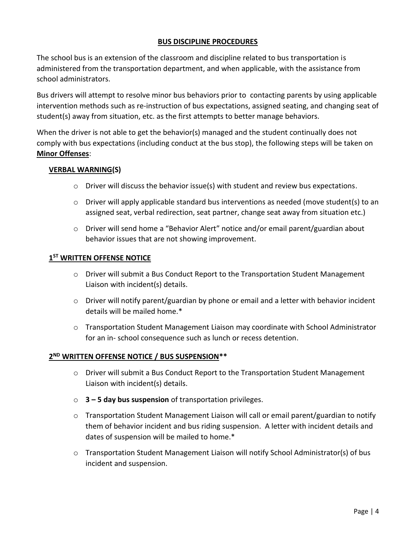### **BUS DISCIPLINE PROCEDURES**

The school bus is an extension of the classroom and discipline related to bus transportation is administered from the transportation department, and when applicable, with the assistance from school administrators.

Bus drivers will attempt to resolve minor bus behaviors prior to contacting parents by using applicable intervention methods such as re-instruction of bus expectations, assigned seating, and changing seat of student(s) away from situation, etc. as the first attempts to better manage behaviors.

When the driver is not able to get the behavior(s) managed and the student continually does not comply with bus expectations (including conduct at the bus stop), the following steps will be taken on **Minor Offenses**:

#### **VERBAL WARNING(S)**

- $\circ$  Driver will discuss the behavior issue(s) with student and review bus expectations.
- o Driver will apply applicable standard bus interventions as needed (move student(s) to an assigned seat, verbal redirection, seat partner, change seat away from situation etc.)
- $\circ$  Driver will send home a "Behavior Alert" notice and/or email parent/guardian about behavior issues that are not showing improvement.

# **1 ST WRITTEN OFFENSE NOTICE**

- $\circ$  Driver will submit a Bus Conduct Report to the Transportation Student Management Liaison with incident(s) details.
- o Driver will notify parent/guardian by phone or email and a letter with behavior incident details will be mailed home.\*
- o Transportation Student Management Liaison may coordinate with School Administrator for an in- school consequence such as lunch or recess detention.

# **2 ND WRITTEN OFFENSE NOTICE / BUS SUSPENSION\*\***

- o Driver will submit a Bus Conduct Report to the Transportation Student Management Liaison with incident(s) details.
- o **3 – 5 day bus suspension** of transportation privileges.
- $\circ$  Transportation Student Management Liaison will call or email parent/guardian to notify them of behavior incident and bus riding suspension. A letter with incident details and dates of suspension will be mailed to home.\*
- $\circ$  Transportation Student Management Liaison will notify School Administrator(s) of bus incident and suspension.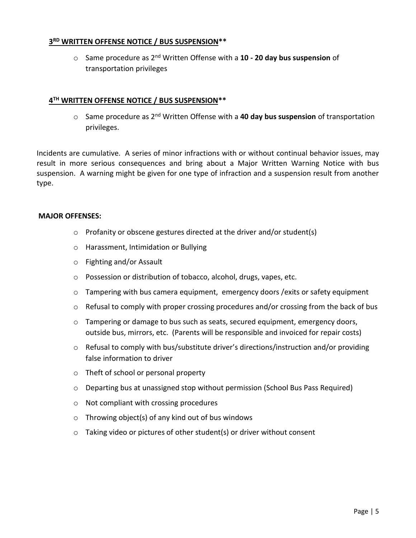# **3 RD WRITTEN OFFENSE NOTICE / BUS SUSPENSION\*\***

o Same procedure as 2nd Written Offense with a **10 - 20 day bus suspension** of transportation privileges

# **4 TH WRITTEN OFFENSE NOTICE / BUS SUSPENSION\*\***

o Same procedure as 2nd Written Offense with a **40 day bus suspension** of transportation privileges.

Incidents are cumulative. A series of minor infractions with or without continual behavior issues, may result in more serious consequences and bring about a Major Written Warning Notice with bus suspension. A warning might be given for one type of infraction and a suspension result from another type.

#### **MAJOR OFFENSES:**

- o Profanity or obscene gestures directed at the driver and/or student(s)
- o Harassment, Intimidation or Bullying
- o Fighting and/or Assault
- o Possession or distribution of tobacco, alcohol, drugs, vapes, etc.
- $\circ$  Tampering with bus camera equipment, emergency doors / exits or safety equipment
- $\circ$  Refusal to comply with proper crossing procedures and/or crossing from the back of bus
- $\circ$  Tampering or damage to bus such as seats, secured equipment, emergency doors, outside bus, mirrors, etc. (Parents will be responsible and invoiced for repair costs)
- o Refusal to comply with bus/substitute driver's directions/instruction and/or providing false information to driver
- o Theft of school or personal property
- $\circ$  Departing bus at unassigned stop without permission (School Bus Pass Required)
- o Not compliant with crossing procedures
- $\circ$  Throwing object(s) of any kind out of bus windows
- $\circ$  Taking video or pictures of other student(s) or driver without consent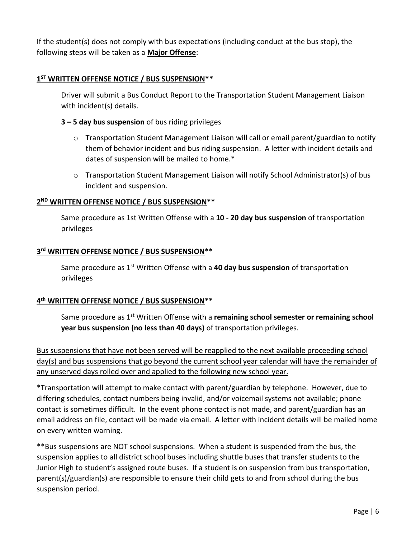If the student(s) does not comply with bus expectations (including conduct at the bus stop), the following steps will be taken as a **Major Offense**:

# **1 ST WRITTEN OFFENSE NOTICE / BUS SUSPENSION\*\***

Driver will submit a Bus Conduct Report to the Transportation Student Management Liaison with incident(s) details.

#### **3 – 5 day bus suspension** of bus riding privileges

- o Transportation Student Management Liaison will call or email parent/guardian to notify them of behavior incident and bus riding suspension. A letter with incident details and dates of suspension will be mailed to home.\*
- o Transportation Student Management Liaison will notify School Administrator(s) of bus incident and suspension.

# **2 ND WRITTEN OFFENSE NOTICE / BUS SUSPENSION\*\***

Same procedure as 1st Written Offense with a **10 - 20 day bus suspension** of transportation privileges

### **3 rd WRITTEN OFFENSE NOTICE / BUS SUSPENSION\*\***

Same procedure as 1st Written Offense with a **40 day bus suspension** of transportation privileges

## **4 th WRITTEN OFFENSE NOTICE / BUS SUSPENSION\*\***

Same procedure as 1st Written Offense with a **remaining school semester or remaining school year bus suspension (no less than 40 days)** of transportation privileges.

Bus suspensions that have not been served will be reapplied to the next available proceeding school day(s) and bus suspensions that go beyond the current school year calendar will have the remainder of any unserved days rolled over and applied to the following new school year.

\*Transportation will attempt to make contact with parent/guardian by telephone. However, due to differing schedules, contact numbers being invalid, and/or voicemail systems not available; phone contact is sometimes difficult. In the event phone contact is not made, and parent/guardian has an email address on file, contact will be made via email. A letter with incident details will be mailed home on every written warning.

\*\*Bus suspensions are NOT school suspensions. When a student is suspended from the bus, the suspension applies to all district school buses including shuttle buses that transfer students to the Junior High to student's assigned route buses. If a student is on suspension from bus transportation, parent(s)/guardian(s) are responsible to ensure their child gets to and from school during the bus suspension period.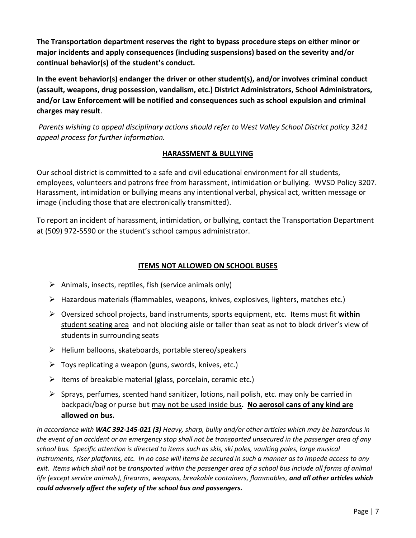**The Transportation department reserves the right to bypass procedure steps on either minor or major incidents and apply consequences (including suspensions) based on the severity and/or continual behavior(s) of the student's conduct.** 

**In the event behavior(s) endanger the driver or other student(s), and/or involves criminal conduct (assault, weapons, drug possession, vandalism, etc.) District Administrators, School Administrators, and/or Law Enforcement will be notified and consequences such as school expulsion and criminal charges may result**.

*Parents wishing to appeal disciplinary actions should refer to West Valley School District policy 3241 appeal process for further information.*

# **HARASSMENT & BULLYING**

Our school district is committed to a safe and civil educational environment for all students, employees, volunteers and patrons free from harassment, intimidation or bullying. WVSD Policy 3207. Harassment, intimidation or bullying means any intentional verbal, physical act, written message or image (including those that are electronically transmitted).

To report an incident of harassment, intimidation, or bullying, contact the Transportation Department at (509) 972-5590 or the student's school campus administrator.

## **ITEMS NOT ALLOWED ON SCHOOL BUSES**

- $\triangleright$  Animals, insects, reptiles, fish (service animals only)
- $\triangleright$  Hazardous materials (flammables, weapons, knives, explosives, lighters, matches etc.)
- ➢ Oversized school projects, band instruments, sports equipment, etc. Items must fit **within** student seating area and not blocking aisle or taller than seat as not to block driver's view of students in surrounding seats
- $\triangleright$  Helium balloons, skateboards, portable stereo/speakers
- $\triangleright$  Toys replicating a weapon (guns, swords, knives, etc.)
- $\triangleright$  Items of breakable material (glass, porcelain, ceramic etc.)
- $\triangleright$  Sprays, perfumes, scented hand sanitizer, lotions, nail polish, etc. may only be carried in backpack/bag or purse but may not be used inside bus**. No aerosol cans of any kind are allowed on bus.**

*In accordance with WAC 392-145-021 (3) Heavy, sharp, bulky and/or other articles which may be hazardous in the event of an accident or an emergency stop shall not be transported unsecured in the passenger area of any school bus. Specific attention is directed to items such as skis, ski poles, vaulting poles, large musical instruments, riser platforms, etc. In no case will items be secured in such a manner as to impede access to any exit. Items which shall not be transported within the passenger area of a school bus include all forms of animal* life (except service animals), firearms, weapons, breakable containers, flammables, and all other articles which *could adversely affect the safety of the school bus and passengers.*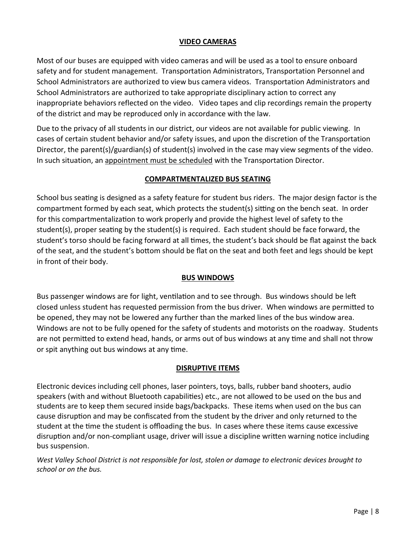### **VIDEO CAMERAS**

Most of our buses are equipped with video cameras and will be used as a tool to ensure onboard safety and for student management. Transportation Administrators, Transportation Personnel and School Administrators are authorized to view bus camera videos. Transportation Administrators and School Administrators are authorized to take appropriate disciplinary action to correct any inappropriate behaviors reflected on the video. Video tapes and clip recordings remain the property of the district and may be reproduced only in accordance with the law.

Due to the privacy of all students in our district, our videos are not available for public viewing. In cases of certain student behavior and/or safety issues, and upon the discretion of the Transportation Director, the parent(s)/guardian(s) of student(s) involved in the case may view segments of the video. In such situation, an appointment must be scheduled with the Transportation Director.

#### **COMPARTMENTALIZED BUS SEATING**

School bus seating is designed as a safety feature for student bus riders. The major design factor is the compartment formed by each seat, which protects the student(s) sitting on the bench seat. In order for this compartmentalization to work properly and provide the highest level of safety to the student(s), proper seating by the student(s) is required. Each student should be face forward, the student's torso should be facing forward at all times, the student's back should be flat against the back of the seat, and the student's bottom should be flat on the seat and both feet and legs should be kept in front of their body.

#### **BUS WINDOWS**

Bus passenger windows are for light, ventilation and to see through. Bus windows should be left closed unless student has requested permission from the bus driver. When windows are permitted to be opened, they may not be lowered any further than the marked lines of the bus window area. Windows are not to be fully opened for the safety of students and motorists on the roadway. Students are not permitted to extend head, hands, or arms out of bus windows at any time and shall not throw or spit anything out bus windows at any time.

## **DISRUPTIVE ITEMS**

Electronic devices including cell phones, laser pointers, toys, balls, rubber band shooters, audio speakers (with and without Bluetooth capabilities) etc., are not allowed to be used on the bus and students are to keep them secured inside bags/backpacks. These items when used on the bus can cause disruption and may be confiscated from the student by the driver and only returned to the student at the time the student is offloading the bus. In cases where these items cause excessive disruption and/or non-compliant usage, driver will issue a discipline written warning notice including bus suspension.

*West Valley School District is not responsible for lost, stolen or damage to electronic devices brought to school or on the bus.*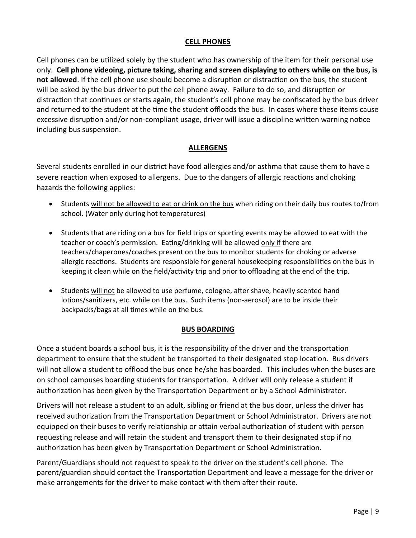#### **CELL PHONES**

Cell phones can be utilized solely by the student who has ownership of the item for their personal use only. **Cell phone videoing, picture taking, sharing and screen displaying to others while on the bus, is not allowed**. If the cell phone use should become a disruption or distraction on the bus, the student will be asked by the bus driver to put the cell phone away. Failure to do so, and disruption or distraction that continues or starts again, the student's cell phone may be confiscated by the bus driver and returned to the student at the time the student offloads the bus. In cases where these items cause excessive disruption and/or non-compliant usage, driver will issue a discipline written warning notice including bus suspension.

# **ALLERGENS**

Several students enrolled in our district have food allergies and/or asthma that cause them to have a severe reaction when exposed to allergens. Due to the dangers of allergic reactions and choking hazards the following applies:

- Students will not be allowed to eat or drink on the bus when riding on their daily bus routes to/from school. (Water only during hot temperatures)
- Students that are riding on a bus for field trips or sporting events may be allowed to eat with the teacher or coach's permission. Eating/drinking will be allowed only if there are teachers/chaperones/coaches present on the bus to monitor students for choking or adverse allergic reactions. Students are responsible for general housekeeping responsibilities on the bus in keeping it clean while on the field/activity trip and prior to offloading at the end of the trip.
- Students will not be allowed to use perfume, cologne, after shave, heavily scented hand lotions/sanitizers, etc. while on the bus. Such items (non-aerosol) are to be inside their backpacks/bags at all times while on the bus.

## **BUS BOARDING**

Once a student boards a school bus, it is the responsibility of the driver and the transportation department to ensure that the student be transported to their designated stop location. Bus drivers will not allow a student to offload the bus once he/she has boarded. This includes when the buses are on school campuses boarding students for transportation. A driver will only release a student if authorization has been given by the Transportation Department or by a School Administrator.

Drivers will not release a student to an adult, sibling or friend at the bus door, unless the driver has received authorization from the Transportation Department or School Administrator. Drivers are not equipped on their buses to verify relationship or attain verbal authorization of student with person requesting release and will retain the student and transport them to their designated stop if no authorization has been given by Transportation Department or School Administration.

Parent/Guardians should not request to speak to the driver on the student's cell phone. The parent/guardian should contact the Transportation Department and leave a message for the driver or make arrangements for the driver to make contact with them after their route.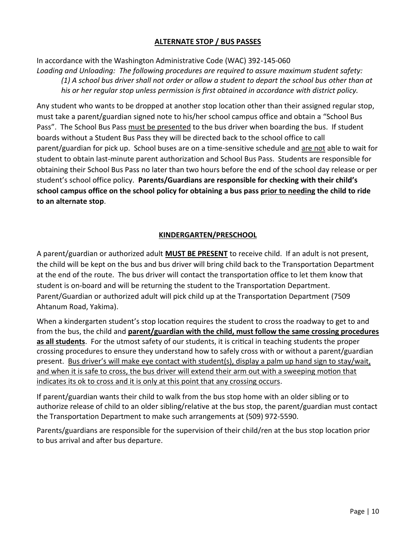### **ALTERNATE STOP / BUS PASSES**

In accordance with the Washington Administrative Code (WAC) 392-145-060 *Loading and Unloading: The following procedures are required to assure maximum student safety: (1) A school bus driver shall not order or allow a student to depart the school bus other than at his or her regular stop unless permission is first obtained in accordance with district policy.*

Any student who wants to be dropped at another stop location other than their assigned regular stop, must take a parent/guardian signed note to his/her school campus office and obtain a "School Bus Pass". The School Bus Pass must be presented to the bus driver when boarding the bus. If student boards without a Student Bus Pass they will be directed back to the school office to call parent/guardian for pick up. School buses are on a time-sensitive schedule and are not able to wait for student to obtain last-minute parent authorization and School Bus Pass. Students are responsible for obtaining their School Bus Pass no later than two hours before the end of the school day release or per student's school office policy. **Parents/Guardians are responsible for checking with their child's school campus office on the school policy for obtaining a bus pass prior to needing the child to ride to an alternate stop**.

#### **KINDERGARTEN/PRESCHOOL**

A parent/guardian or authorized adult **MUST BE PRESENT** to receive child. If an adult is not present, the child will be kept on the bus and bus driver will bring child back to the Transportation Department at the end of the route. The bus driver will contact the transportation office to let them know that student is on-board and will be returning the student to the Transportation Department. Parent/Guardian or authorized adult will pick child up at the Transportation Department (7509 Ahtanum Road, Yakima).

When a kindergarten student's stop location requires the student to cross the roadway to get to and from the bus, the child and **parent/guardian with the child, must follow the same crossing procedures as all students**. For the utmost safety of our students, it is critical in teaching students the proper crossing procedures to ensure they understand how to safely cross with or without a parent/guardian present. Bus driver's will make eye contact with student(s), display a palm up hand sign to stay/wait, and when it is safe to cross, the bus driver will extend their arm out with a sweeping motion that indicates its ok to cross and it is only at this point that any crossing occurs.

If parent/guardian wants their child to walk from the bus stop home with an older sibling or to authorize release of child to an older sibling/relative at the bus stop, the parent/guardian must contact the Transportation Department to make such arrangements at (509) 972-5590.

Parents/guardians are responsible for the supervision of their child/ren at the bus stop location prior to bus arrival and after bus departure.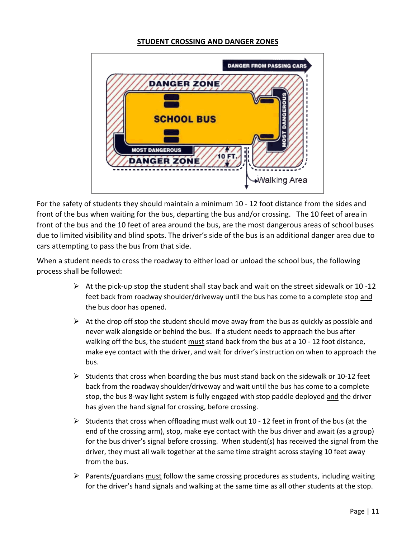#### **STUDENT CROSSING AND DANGER ZONES**



For the safety of students they should maintain a minimum 10 - 12 foot distance from the sides and front of the bus when waiting for the bus, departing the bus and/or crossing. The 10 feet of area in front of the bus and the 10 feet of area around the bus, are the most dangerous areas of school buses due to limited visibility and blind spots. The driver's side of the bus is an additional danger area due to cars attempting to pass the bus from that side.

When a student needs to cross the roadway to either load or unload the school bus, the following process shall be followed:

- $\triangleright$  At the pick-up stop the student shall stay back and wait on the street sidewalk or 10 -12 feet back from roadway shoulder/driveway until the bus has come to a complete stop and the bus door has opened.
- $\triangleright$  At the drop off stop the student should move away from the bus as quickly as possible and never walk alongside or behind the bus. If a student needs to approach the bus after walking off the bus, the student must stand back from the bus at a 10 - 12 foot distance, make eye contact with the driver, and wait for driver's instruction on when to approach the bus.
- $\triangleright$  Students that cross when boarding the bus must stand back on the sidewalk or 10-12 feet back from the roadway shoulder/driveway and wait until the bus has come to a complete stop, the bus 8-way light system is fully engaged with stop paddle deployed and the driver has given the hand signal for crossing, before crossing.
- $\triangleright$  Students that cross when offloading must walk out 10 12 feet in front of the bus (at the end of the crossing arm), stop, make eye contact with the bus driver and await (as a group) for the bus driver's signal before crossing. When student(s) has received the signal from the driver, they must all walk together at the same time straight across staying 10 feet away from the bus.
- $\triangleright$  Parents/guardians must follow the same crossing procedures as students, including waiting for the driver's hand signals and walking at the same time as all other students at the stop.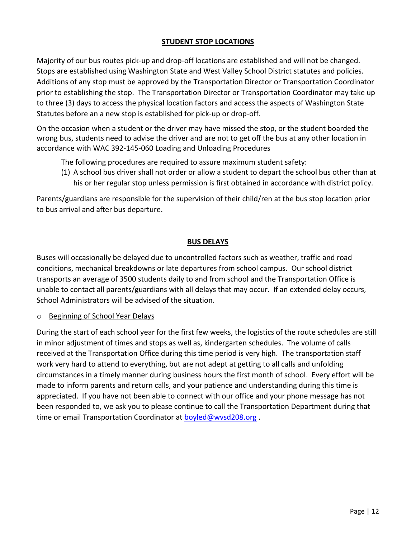# **STUDENT STOP LOCATIONS**

Majority of our bus routes pick-up and drop-off locations are established and will not be changed. Stops are established using Washington State and West Valley School District statutes and policies. Additions of any stop must be approved by the Transportation Director or Transportation Coordinator prior to establishing the stop. The Transportation Director or Transportation Coordinator may take up to three (3) days to access the physical location factors and access the aspects of Washington State Statutes before an a new stop is established for pick-up or drop-off.

On the occasion when a student or the driver may have missed the stop, or the student boarded the wrong bus, students need to advise the driver and are not to get off the bus at any other location in accordance with WAC 392-145-060 Loading and Unloading Procedures

The following procedures are required to assure maximum student safety:

(1) A school bus driver shall not order or allow a student to depart the school bus other than at his or her regular stop unless permission is first obtained in accordance with district policy.

Parents/guardians are responsible for the supervision of their child/ren at the bus stop location prior to bus arrival and after bus departure.

#### **BUS DELAYS**

Buses will occasionally be delayed due to uncontrolled factors such as weather, traffic and road conditions, mechanical breakdowns or late departures from school campus. Our school district transports an average of 3500 students daily to and from school and the Transportation Office is unable to contact all parents/guardians with all delays that may occur. If an extended delay occurs, School Administrators will be advised of the situation.

o Beginning of School Year Delays

During the start of each school year for the first few weeks, the logistics of the route schedules are still in minor adjustment of times and stops as well as, kindergarten schedules. The volume of calls received at the Transportation Office during this time period is very high. The transportation staff work very hard to attend to everything, but are not adept at getting to all calls and unfolding circumstances in a timely manner during business hours the first month of school. Every effort will be made to inform parents and return calls, and your patience and understanding during this time is appreciated. If you have not been able to connect with our office and your phone message has not been responded to, we ask you to please continue to call the Transportation Department during that time or email Transportation Coordinator at **boyled@wvsd208.org**.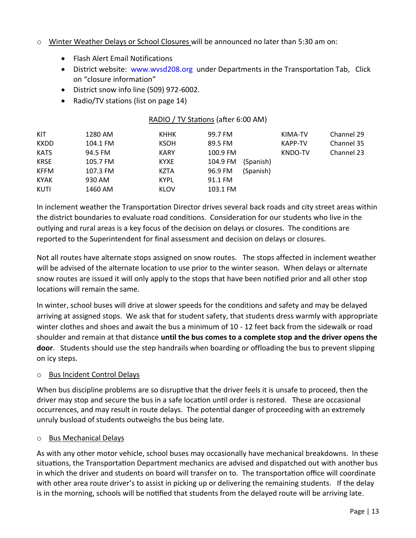#### o Winter Weather Delays or School Closures will be announced no later than 5:30 am on:

- Flash Alert Email Notifications
- District website: [www.wvsd208.org](http://www.wvsd208.org/) under Departments in the Transportation Tab, Click on "closure information"
- District snow info line (509) 972-6002.
- Radio/TV stations (list on page 14)

| KIT         | 1280 AM  | <b>KHHK</b> | 99.7 FM               | KIMA-TV | Channel 29 |
|-------------|----------|-------------|-----------------------|---------|------------|
| <b>KXDD</b> | 104.1 FM | <b>KSOH</b> | 89.5 FM               | KAPP-TV | Channel 35 |
| <b>KATS</b> | 94.5 FM  | <b>KARY</b> | 100.9 FM              | KNDO-TV | Channel 23 |
| <b>KRSE</b> | 105.7 FM | <b>KYXE</b> | 104.9 FM<br>(Spanish) |         |            |
| <b>KFFM</b> | 107.3 FM | <b>KZTA</b> | 96.9 FM<br>(Spanish)  |         |            |
| <b>KYAK</b> | 930 AM   | <b>KYPL</b> | 91.1 FM               |         |            |
| <b>KUTI</b> | 1460 AM  | KLOV        | 103.1 FM              |         |            |
|             |          |             |                       |         |            |

RADIO / TV Stations (after 6:00 AM)

In inclement weather the Transportation Director drives several back roads and city street areas within the district boundaries to evaluate road conditions. Consideration for our students who live in the outlying and rural areas is a key focus of the decision on delays or closures. The conditions are reported to the Superintendent for final assessment and decision on delays or closures.

Not all routes have alternate stops assigned on snow routes. The stops affected in inclement weather will be advised of the alternate location to use prior to the winter season. When delays or alternate snow routes are issued it will only apply to the stops that have been notified prior and all other stop locations will remain the same.

In winter, school buses will drive at slower speeds for the conditions and safety and may be delayed arriving at assigned stops. We ask that for student safety, that students dress warmly with appropriate winter clothes and shoes and await the bus a minimum of 10 - 12 feet back from the sidewalk or road shoulder and remain at that distance **until the bus comes to a complete stop and the driver opens the door**. Students should use the step handrails when boarding or offloading the bus to prevent slipping on icy steps.

#### o Bus Incident Control Delays

When bus discipline problems are so disruptive that the driver feels it is unsafe to proceed, then the driver may stop and secure the bus in a safe location until order is restored. These are occasional occurrences, and may result in route delays. The potential danger of proceeding with an extremely unruly busload of students outweighs the bus being late.

#### o Bus Mechanical Delays

As with any other motor vehicle, school buses may occasionally have mechanical breakdowns. In these situations, the Transportation Department mechanics are advised and dispatched out with another bus in which the driver and students on board will transfer on to. The transportation office will coordinate with other area route driver's to assist in picking up or delivering the remaining students. If the delay is in the morning, schools will be notified that students from the delayed route will be arriving late.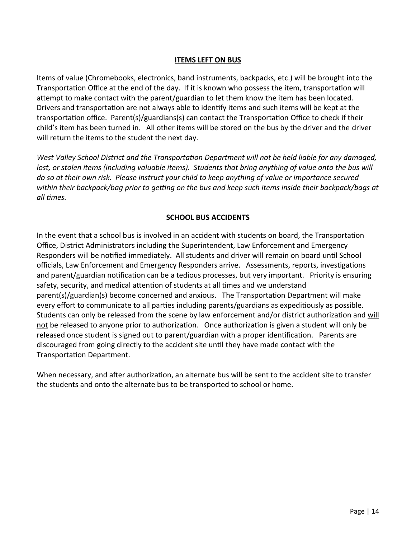#### **ITEMS LEFT ON BUS**

Items of value (Chromebooks, electronics, band instruments, backpacks, etc.) will be brought into the Transportation Office at the end of the day. If it is known who possess the item, transportation will attempt to make contact with the parent/guardian to let them know the item has been located. Drivers and transportation are not always able to identify items and such items will be kept at the transportation office. Parent(s)/guardians(s) can contact the Transportation Office to check if their child's item has been turned in. All other items will be stored on the bus by the driver and the driver will return the items to the student the next day.

*West Valley School District and the Transportation Department will not be held liable for any damaged, lost, or stolen items (including valuable items). Students that bring anything of value onto the bus will do so at their own risk. Please instruct your child to keep anything of value or importance secured within their backpack/bag prior to getting on the bus and keep such items inside their backpack/bags at all times.* 

#### **SCHOOL BUS ACCIDENTS**

In the event that a school bus is involved in an accident with students on board, the Transportation Office, District Administrators including the Superintendent, Law Enforcement and Emergency Responders will be notified immediately. All students and driver will remain on board until School officials, Law Enforcement and Emergency Responders arrive. Assessments, reports, investigations and parent/guardian notification can be a tedious processes, but very important. Priority is ensuring safety, security, and medical attention of students at all times and we understand parent(s)/guardian(s) become concerned and anxious. The Transportation Department will make every effort to communicate to all parties including parents/guardians as expeditiously as possible. Students can only be released from the scene by law enforcement and/or district authorization and will not be released to anyone prior to authorization. Once authorization is given a student will only be released once student is signed out to parent/guardian with a proper identification. Parents are discouraged from going directly to the accident site until they have made contact with the Transportation Department.

When necessary, and after authorization, an alternate bus will be sent to the accident site to transfer the students and onto the alternate bus to be transported to school or home.